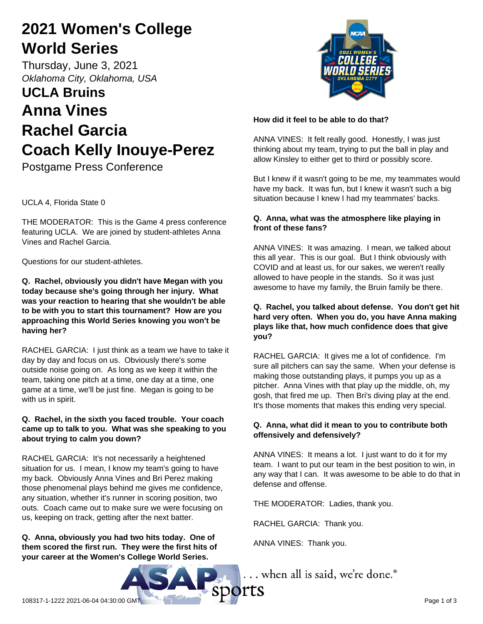# **2021 Women's College World Series**

Thursday, June 3, 2021 *Oklahoma City, Oklahoma, USA*

# **UCLA Bruins Anna Vines Rachel Garcia Coach Kelly Inouye-Perez**

Postgame Press Conference

UCLA 4, Florida State 0

THE MODERATOR: This is the Game 4 press conference featuring UCLA. We are joined by student-athletes Anna Vines and Rachel Garcia.

Questions for our student-athletes.

**Q. Rachel, obviously you didn't have Megan with you today because she's going through her injury. What was your reaction to hearing that she wouldn't be able to be with you to start this tournament? How are you approaching this World Series knowing you won't be having her?**

RACHEL GARCIA: I just think as a team we have to take it day by day and focus on us. Obviously there's some outside noise going on. As long as we keep it within the team, taking one pitch at a time, one day at a time, one game at a time, we'll be just fine. Megan is going to be with us in spirit.

## **Q. Rachel, in the sixth you faced trouble. Your coach came up to talk to you. What was she speaking to you about trying to calm you down?**

RACHEL GARCIA: It's not necessarily a heightened situation for us. I mean, I know my team's going to have my back. Obviously Anna Vines and Bri Perez making those phenomenal plays behind me gives me confidence, any situation, whether it's runner in scoring position, two outs. Coach came out to make sure we were focusing on us, keeping on track, getting after the next batter.

**Q. Anna, obviously you had two hits today. One of them scored the first run. They were the first hits of your career at the Women's College World Series.** 



## **How did it feel to be able to do that?**

ANNA VINES: It felt really good. Honestly, I was just thinking about my team, trying to put the ball in play and allow Kinsley to either get to third or possibly score.

But I knew if it wasn't going to be me, my teammates would have my back. It was fun, but I knew it wasn't such a big situation because I knew I had my teammates' backs.

## **Q. Anna, what was the atmosphere like playing in front of these fans?**

ANNA VINES: It was amazing. I mean, we talked about this all year. This is our goal. But I think obviously with COVID and at least us, for our sakes, we weren't really allowed to have people in the stands. So it was just awesome to have my family, the Bruin family be there.

### **Q. Rachel, you talked about defense. You don't get hit hard very often. When you do, you have Anna making plays like that, how much confidence does that give you?**

RACHEL GARCIA: It gives me a lot of confidence. I'm sure all pitchers can say the same. When your defense is making those outstanding plays, it pumps you up as a pitcher. Anna Vines with that play up the middle, oh, my gosh, that fired me up. Then Bri's diving play at the end. It's those moments that makes this ending very special.

## **Q. Anna, what did it mean to you to contribute both offensively and defensively?**

ANNA VINES: It means a lot. I just want to do it for my team. I want to put our team in the best position to win, in any way that I can. It was awesome to be able to do that in defense and offense.

THE MODERATOR: Ladies, thank you.

RACHEL GARCIA: Thank you.

ANNA VINES: Thank you.

... when all is said, we're done.<sup>®</sup>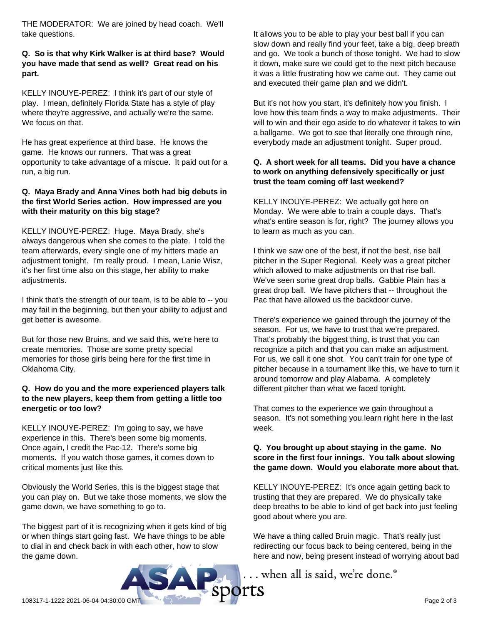THE MODERATOR: We are joined by head coach. We'll take questions.

### **Q. So is that why Kirk Walker is at third base? Would you have made that send as well? Great read on his part.**

KELLY INOUYE-PEREZ: I think it's part of our style of play. I mean, definitely Florida State has a style of play where they're aggressive, and actually we're the same. We focus on that.

He has great experience at third base. He knows the game. He knows our runners. That was a great opportunity to take advantage of a miscue. It paid out for a run, a big run.

### **Q. Maya Brady and Anna Vines both had big debuts in the first World Series action. How impressed are you with their maturity on this big stage?**

KELLY INOUYE-PEREZ: Huge. Maya Brady, she's always dangerous when she comes to the plate. I told the team afterwards, every single one of my hitters made an adjustment tonight. I'm really proud. I mean, Lanie Wisz, it's her first time also on this stage, her ability to make adjustments.

I think that's the strength of our team, is to be able to -- you may fail in the beginning, but then your ability to adjust and get better is awesome.

But for those new Bruins, and we said this, we're here to create memories. Those are some pretty special memories for those girls being here for the first time in Oklahoma City.

## **Q. How do you and the more experienced players talk to the new players, keep them from getting a little too energetic or too low?**

KELLY INOUYE-PEREZ: I'm going to say, we have experience in this. There's been some big moments. Once again, I credit the Pac-12. There's some big moments. If you watch those games, it comes down to critical moments just like this.

Obviously the World Series, this is the biggest stage that you can play on. But we take those moments, we slow the game down, we have something to go to.

The biggest part of it is recognizing when it gets kind of big or when things start going fast. We have things to be able to dial in and check back in with each other, how to slow the game down.

It allows you to be able to play your best ball if you can slow down and really find your feet, take a big, deep breath and go. We took a bunch of those tonight. We had to slow it down, make sure we could get to the next pitch because it was a little frustrating how we came out. They came out and executed their game plan and we didn't.

But it's not how you start, it's definitely how you finish. I love how this team finds a way to make adjustments. Their will to win and their ego aside to do whatever it takes to win a ballgame. We got to see that literally one through nine, everybody made an adjustment tonight. Super proud.

#### **Q. A short week for all teams. Did you have a chance to work on anything defensively specifically or just trust the team coming off last weekend?**

KELLY INOUYE-PEREZ: We actually got here on Monday. We were able to train a couple days. That's what's entire season is for, right? The journey allows you to learn as much as you can.

I think we saw one of the best, if not the best, rise ball pitcher in the Super Regional. Keely was a great pitcher which allowed to make adjustments on that rise ball. We've seen some great drop balls. Gabbie Plain has a great drop ball. We have pitchers that -- throughout the Pac that have allowed us the backdoor curve.

There's experience we gained through the journey of the season. For us, we have to trust that we're prepared. That's probably the biggest thing, is trust that you can recognize a pitch and that you can make an adjustment. For us, we call it one shot. You can't train for one type of pitcher because in a tournament like this, we have to turn it around tomorrow and play Alabama. A completely different pitcher than what we faced tonight.

That comes to the experience we gain throughout a season. It's not something you learn right here in the last week.

### **Q. You brought up about staying in the game. No score in the first four innings. You talk about slowing the game down. Would you elaborate more about that.**

KELLY INOUYE-PEREZ: It's once again getting back to trusting that they are prepared. We do physically take deep breaths to be able to kind of get back into just feeling good about where you are.

We have a thing called Bruin magic. That's really just redirecting our focus back to being centered, being in the here and now, being present instead of worrying about bad

... when all is said, we're done.®